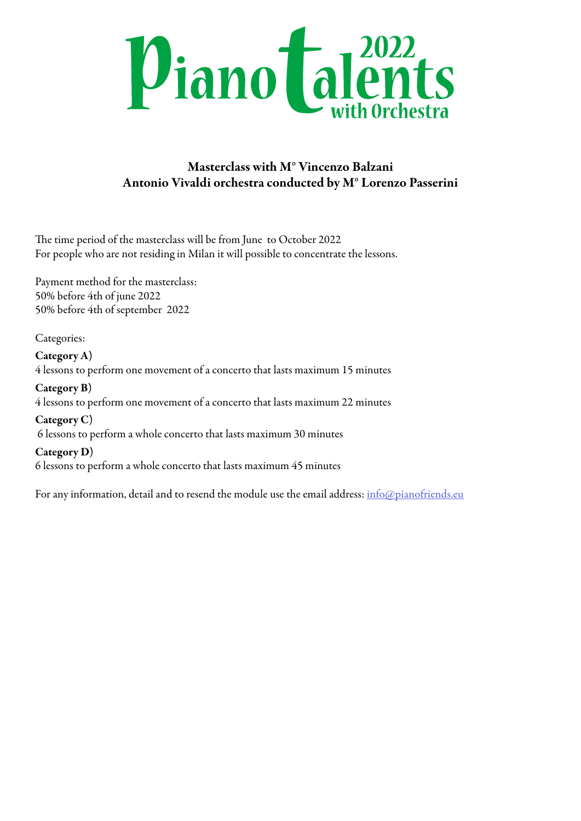

## Masterclass with M° Vincenzo Balzani Antonio Vivaldi orchestra conducted by M° Lorenzo Passerini

The time period of the masterclass will be from June to October 2022 For people who are not residing in Milan it will possible to concentrate the lessons.

Payment method for the masterclass: 50% before 4th of june 2022 50% before 4th of september 2022

Categories:

Category A) 4 lessons to perform one movement of a concerto that lasts maximum 15 minutes

Category B) 4 lessons to perform one movement of a concerto that lasts maximum 22 minutes

Category C) 6 lessons to perform a whole concerto that lasts maximum 30 minutes

Category D) 6 lessons to perform a whole concerto that lasts maximum 45 minutes

For any information, detail and to resend the module use the email address: [info@pianofriends.eu](mailto:info%40pianofriends.eu?subject=Piano%20Talents%20with%20Orchestra%202022)